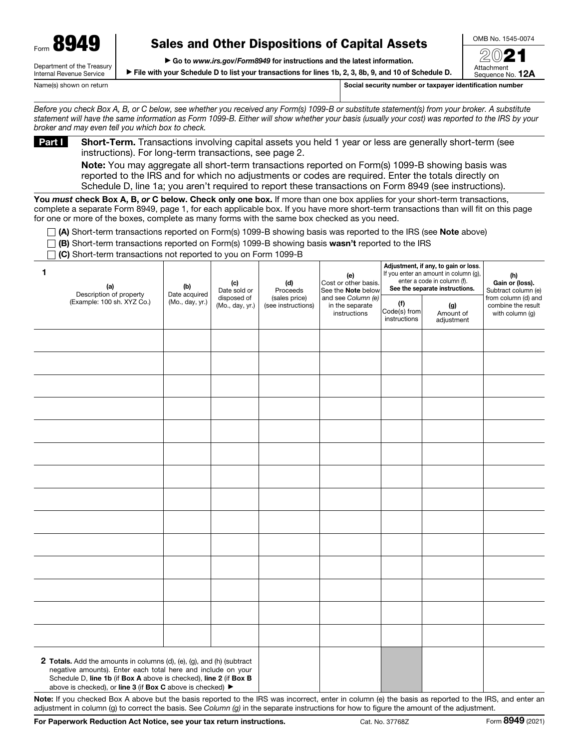Department of the Treasury

# Sales and Other Dispositions of Capital Assets

OMB No. 1545-0074 2021

Attachment

▶ Go to *www.irs.gov/Form8949* for instructions and the latest information.

▶ File with your Schedule D to list your transactions for lines 1b, 2, 3, 8b, 9, and 10 of Schedule D.

Sequence No. 12A

Internal Revenue Service

Name(s) shown on return number or taxpayer identification number or taxpayer identification number

*Before you check Box A, B, or C below, see whether you received any Form(s) 1099-B or substitute statement(s) from your broker. A substitute statement will have the same information as Form 1099-B. Either will show whether your basis (usually your cost) was reported to the IRS by your broker and may even tell you which box to check.*

Part I Short-Term. Transactions involving capital assets you held 1 year or less are generally short-term (see instructions). For long-term transactions, see page 2.

Note: You may aggregate all short-term transactions reported on Form(s) 1099-B showing basis was reported to the IRS and for which no adjustments or codes are required. Enter the totals directly on Schedule D, line 1a; you aren't required to report these transactions on Form 8949 (see instructions).

You *must* check Box A, B, *or* C below. Check only one box. If more than one box applies for your short-term transactions, complete a separate Form 8949, page 1, for each applicable box. If you have more short-term transactions than will fit on this page for one or more of the boxes, complete as many forms with the same box checked as you need.

 $\Box$  (A) Short-term transactions reported on Form(s) 1099-B showing basis was reported to the IRS (see Note above)

 $\Box$  (B) Short-term transactions reported on Form(s) 1099-B showing basis wasn't reported to the IRS

 $\Box$  (C) Short-term transactions not reported to you on Form 1099-B

| 1                                                                                                                                                                                                                                                                        | (a)<br>Description of property<br>(Example: 100 sh. XYZ Co.) | (b)<br>Date acquired<br>(Mo., day, yr.) | (c)<br>Date sold or<br>disposed of<br>(Mo., day, yr.) | (d)<br>Proceeds<br>(sales price)<br>(see instructions) | (e)<br>Cost or other basis.<br>See the Note below<br>and see Column (e)<br>in the separate<br>instructions | (f)<br>Code(s) from<br>instructions | Adjustment, if any, to gain or loss.<br>If you enter an amount in column (g),<br>enter a code in column (f).<br>See the separate instructions.<br>(g)<br>Amount of<br>adjustment | (h)<br>Gain or (loss).<br>Subtract column (e)<br>from column (d) and<br>combine the result<br>with column (g) |
|--------------------------------------------------------------------------------------------------------------------------------------------------------------------------------------------------------------------------------------------------------------------------|--------------------------------------------------------------|-----------------------------------------|-------------------------------------------------------|--------------------------------------------------------|------------------------------------------------------------------------------------------------------------|-------------------------------------|----------------------------------------------------------------------------------------------------------------------------------------------------------------------------------|---------------------------------------------------------------------------------------------------------------|
|                                                                                                                                                                                                                                                                          |                                                              |                                         |                                                       |                                                        |                                                                                                            |                                     |                                                                                                                                                                                  |                                                                                                               |
|                                                                                                                                                                                                                                                                          |                                                              |                                         |                                                       |                                                        |                                                                                                            |                                     |                                                                                                                                                                                  |                                                                                                               |
|                                                                                                                                                                                                                                                                          |                                                              |                                         |                                                       |                                                        |                                                                                                            |                                     |                                                                                                                                                                                  |                                                                                                               |
|                                                                                                                                                                                                                                                                          |                                                              |                                         |                                                       |                                                        |                                                                                                            |                                     |                                                                                                                                                                                  |                                                                                                               |
|                                                                                                                                                                                                                                                                          |                                                              |                                         |                                                       |                                                        |                                                                                                            |                                     |                                                                                                                                                                                  |                                                                                                               |
|                                                                                                                                                                                                                                                                          |                                                              |                                         |                                                       |                                                        |                                                                                                            |                                     |                                                                                                                                                                                  |                                                                                                               |
|                                                                                                                                                                                                                                                                          |                                                              |                                         |                                                       |                                                        |                                                                                                            |                                     |                                                                                                                                                                                  |                                                                                                               |
|                                                                                                                                                                                                                                                                          |                                                              |                                         |                                                       |                                                        |                                                                                                            |                                     |                                                                                                                                                                                  |                                                                                                               |
|                                                                                                                                                                                                                                                                          |                                                              |                                         |                                                       |                                                        |                                                                                                            |                                     |                                                                                                                                                                                  |                                                                                                               |
|                                                                                                                                                                                                                                                                          |                                                              |                                         |                                                       |                                                        |                                                                                                            |                                     |                                                                                                                                                                                  |                                                                                                               |
|                                                                                                                                                                                                                                                                          |                                                              |                                         |                                                       |                                                        |                                                                                                            |                                     |                                                                                                                                                                                  |                                                                                                               |
|                                                                                                                                                                                                                                                                          |                                                              |                                         |                                                       |                                                        |                                                                                                            |                                     |                                                                                                                                                                                  |                                                                                                               |
|                                                                                                                                                                                                                                                                          |                                                              |                                         |                                                       |                                                        |                                                                                                            |                                     |                                                                                                                                                                                  |                                                                                                               |
|                                                                                                                                                                                                                                                                          |                                                              |                                         |                                                       |                                                        |                                                                                                            |                                     |                                                                                                                                                                                  |                                                                                                               |
| 2 Totals. Add the amounts in columns (d), (e), (g), and (h) (subtract<br>negative amounts). Enter each total here and include on your<br>Schedule D, line 1b (if Box A above is checked), line 2 (if Box B<br>above is checked), or line 3 (if Box C above is checked) ▶ |                                                              |                                         |                                                       |                                                        |                                                                                                            |                                     |                                                                                                                                                                                  |                                                                                                               |

Note: If you checked Box A above but the basis reported to the IRS was incorrect, enter in column (e) the basis as reported to the IRS, and enter an adjustment in column (g) to correct the basis. See *Column (g)* in the separate instructions for how to figure the amount of the adjustment.

For Paperwork Reduction Act Notice, see your tax return instructions. Cat. No. 37768Z Form 8949 (2021)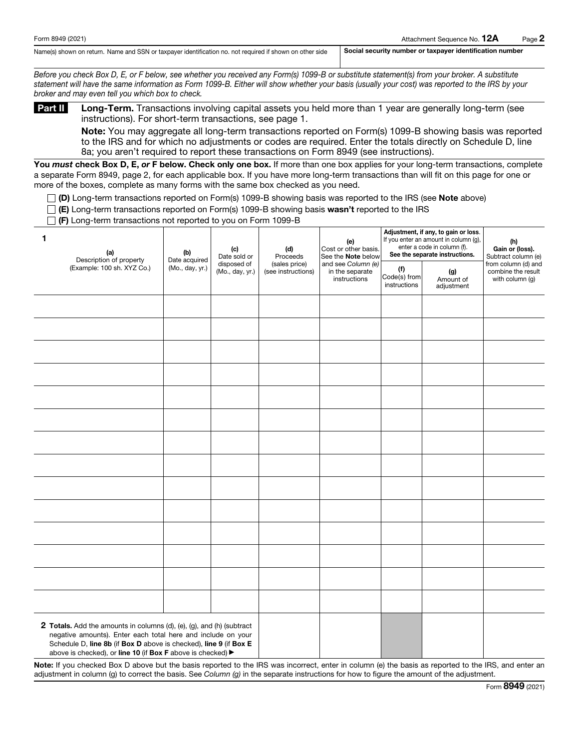Name(s) shown on return. Name and SSN or taxpayer identification no. not required if shown on other side Social security number or taxpayer identification number

*Before you check Box D, E, or F below, see whether you received any Form(s) 1099-B or substitute statement(s) from your broker. A substitute statement will have the same information as Form 1099-B. Either will show whether your basis (usually your cost) was reported to the IRS by your broker and may even tell you which box to check.*

Part II Long-Term. Transactions involving capital assets you held more than 1 year are generally long-term (see instructions). For short-term transactions, see page 1.

Note: You may aggregate all long-term transactions reported on Form(s) 1099-B showing basis was reported to the IRS and for which no adjustments or codes are required. Enter the totals directly on Schedule D, line 8a; you aren't required to report these transactions on Form 8949 (see instructions).

You *must* check Box D, E, or F below. Check only one box. If more than one box applies for your long-term transactions, complete a separate Form 8949, page 2, for each applicable box. If you have more long-term transactions than will fit on this page for one or more of the boxes, complete as many forms with the same box checked as you need.

 $\Box$  (D) Long-term transactions reported on Form(s) 1099-B showing basis was reported to the IRS (see Note above)

 $\Box$  (E) Long-term transactions reported on Form(s) 1099-B showing basis wasn't reported to the IRS

 $\Box$  (F) Long-term transactions not reported to you on Form 1099-B

| 1<br>(a)<br>Description of property                                                                                                                                                                                                                                       | (b)<br>Date acquired                              | (e)<br>(c)<br>(d)<br>Date sold or<br>Proceeds |                                                       | Cost or other basis.<br>See the <b>Note</b> below | Adjustment, if any, to gain or loss.<br>If you enter an amount in column (g),<br>enter a code in column (f).<br>See the separate instructions. | (h)<br>Gain or (loss).<br>Subtract column (e)                |  |
|---------------------------------------------------------------------------------------------------------------------------------------------------------------------------------------------------------------------------------------------------------------------------|---------------------------------------------------|-----------------------------------------------|-------------------------------------------------------|---------------------------------------------------|------------------------------------------------------------------------------------------------------------------------------------------------|--------------------------------------------------------------|--|
| (Example: 100 sh. XYZ Co.)                                                                                                                                                                                                                                                | disposed of<br>(Mo., day, yr.)<br>(Mo., day, yr.) | (sales price)<br>(see instructions)           | and see Column (e)<br>in the separate<br>instructions | (f)<br>Code(s) from<br>instructions               | (g)<br>Amount of<br>adjustment                                                                                                                 | from column (d) and<br>combine the result<br>with column (g) |  |
|                                                                                                                                                                                                                                                                           |                                                   |                                               |                                                       |                                                   |                                                                                                                                                |                                                              |  |
|                                                                                                                                                                                                                                                                           |                                                   |                                               |                                                       |                                                   |                                                                                                                                                |                                                              |  |
|                                                                                                                                                                                                                                                                           |                                                   |                                               |                                                       |                                                   |                                                                                                                                                |                                                              |  |
|                                                                                                                                                                                                                                                                           |                                                   |                                               |                                                       |                                                   |                                                                                                                                                |                                                              |  |
|                                                                                                                                                                                                                                                                           |                                                   |                                               |                                                       |                                                   |                                                                                                                                                |                                                              |  |
|                                                                                                                                                                                                                                                                           |                                                   |                                               |                                                       |                                                   |                                                                                                                                                |                                                              |  |
|                                                                                                                                                                                                                                                                           |                                                   |                                               |                                                       |                                                   |                                                                                                                                                |                                                              |  |
|                                                                                                                                                                                                                                                                           |                                                   |                                               |                                                       |                                                   |                                                                                                                                                |                                                              |  |
|                                                                                                                                                                                                                                                                           |                                                   |                                               |                                                       |                                                   |                                                                                                                                                |                                                              |  |
|                                                                                                                                                                                                                                                                           |                                                   |                                               |                                                       |                                                   |                                                                                                                                                |                                                              |  |
|                                                                                                                                                                                                                                                                           |                                                   |                                               |                                                       |                                                   |                                                                                                                                                |                                                              |  |
|                                                                                                                                                                                                                                                                           |                                                   |                                               |                                                       |                                                   |                                                                                                                                                |                                                              |  |
|                                                                                                                                                                                                                                                                           |                                                   |                                               |                                                       |                                                   |                                                                                                                                                |                                                              |  |
|                                                                                                                                                                                                                                                                           |                                                   |                                               |                                                       |                                                   |                                                                                                                                                |                                                              |  |
| 2 Totals. Add the amounts in columns (d), (e), (g), and (h) (subtract<br>negative amounts). Enter each total here and include on your<br>Schedule D, line 8b (if Box D above is checked), line 9 (if Box E<br>above is checked), or line 10 (if Box F above is checked) ▶ |                                                   |                                               |                                                       |                                                   |                                                                                                                                                |                                                              |  |

Note: If you checked Box D above but the basis reported to the IRS was incorrect, enter in column (e) the basis as reported to the IRS, and enter an adjustment in column (g) to correct the basis. See *Column (g)* in the separate instructions for how to figure the amount of the adjustment.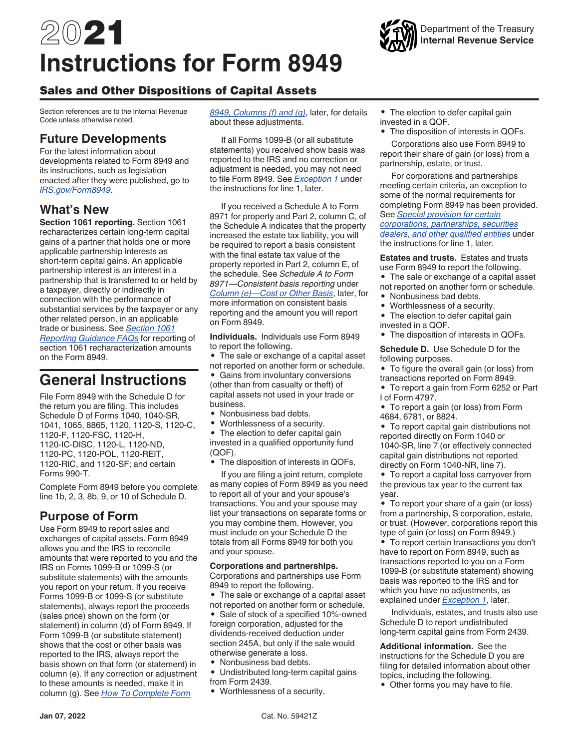# 2021 **Instructions for Form 8949**



# Sales and Other Dispositions of Capital Assets

Section references are to the Internal Revenue Code unless otherwise noted.

# **Future Developments**

For the latest information about developments related to Form 8949 and its instructions, such as legislation enacted after they were published, go to *[IRS.gov/Form8949](https://www.irs.gov/form8949)*.

# **What's New**

**Section 1061 reporting.** Section 1061 recharacterizes certain long-term capital gains of a partner that holds one or more applicable partnership interests as short-term capital gains. An applicable partnership interest is an interest in a partnership that is transferred to or held by a taxpayer, directly or indirectly in connection with the performance of substantial services by the taxpayer or any other related person, in an applicable trade or business. See *[Section 1061](https://www.irs.gov/businesses/partnerships/section-1061-reporting-guidance-faqs) [Reporting Guidance FAQs](https://www.irs.gov/businesses/partnerships/section-1061-reporting-guidance-faqs)* for reporting of section 1061 recharacterization amounts on the Form 8949.

# **General Instructions**

File Form 8949 with the Schedule D for the return you are filing. This includes Schedule D of Forms 1040, 1040-SR, 1041, 1065, 8865, 1120, 1120-S, 1120-C, 1120-F, 1120-FSC, 1120-H, 1120-IC-DISC, 1120-L, 1120-ND, 1120-PC, 1120-POL, 1120-REIT, 1120-RIC, and 1120-SF; and certain Forms 990-T.

Complete Form 8949 before you complete line 1b, 2, 3, 8b, 9, or 10 of Schedule D.

# **Purpose of Form**

Use Form 8949 to report sales and exchanges of capital assets. Form 8949 allows you and the IRS to reconcile amounts that were reported to you and the IRS on Forms 1099-B or 1099-S (or substitute statements) with the amounts you report on your return. If you receive Forms 1099-B or 1099-S (or substitute statements), always report the proceeds (sales price) shown on the form (or statement) in column (d) of Form 8949. If Form 1099-B (or substitute statement) shows that the cost or other basis was reported to the IRS, always report the basis shown on that form (or statement) in column (e). If any correction or adjustment to these amounts is needed, make it in column (g). See *How To Complete Form* 

*8949, Columns (f) and (g)*, later, for details about these adjustments.

If all Forms 1099-B (or all substitute statements) you received show basis was reported to the IRS and no correction or adjustment is needed, you may not need to file Form 8949. See *Exception 1* under the instructions for line 1, later.

If you received a Schedule A to Form 8971 for property and Part 2, column C, of the Schedule A indicates that the property increased the estate tax liability, you will be required to report a basis consistent with the final estate tax value of the property reported in Part 2, column E, of the schedule. See *Schedule A to Form 8971—Consistent basis reporting* under *Column (e)—Cost or Other Basis*, later, for more information on consistent basis reporting and the amount you will report on Form 8949.

**Individuals.** Individuals use Form 8949 to report the following.

• The sale or exchange of a capital asset not reported on another form or schedule.

• Gains from involuntary conversions (other than from casualty or theft) of capital assets not used in your trade or business.

- Nonbusiness bad debts.
- Worthlessness of a security.

• The election to defer capital gain invested in a qualified opportunity fund (QOF).

• The disposition of interests in QOFs.

If you are filing a joint return, complete as many copies of Form 8949 as you need to report all of your and your spouse's transactions. You and your spouse may list your transactions on separate forms or you may combine them. However, you must include on your Schedule D the totals from all Forms 8949 for both you and your spouse.

#### **Corporations and partnerships.**

Corporations and partnerships use Form 8949 to report the following.

• The sale or exchange of a capital asset not reported on another form or schedule.

• Sale of stock of a specified 10%-owned foreign corporation, adjusted for the dividends-received deduction under section 245A, but only if the sale would otherwise generate a loss.

- Nonbusiness bad debts.
- Undistributed long-term capital gains from Form 2439.
- Worthlessness of a security.

• The election to defer capital gain invested in a QOF.

• The disposition of interests in QOFs.

Corporations also use Form 8949 to report their share of gain (or loss) from a partnership, estate, or trust.

For corporations and partnerships meeting certain criteria, an exception to some of the normal requirements for completing Form 8949 has been provided. See *Special provision for certain corporations, partnerships, securities dealers, and other qualified entities* under the instructions for line 1, later.

**Estates and trusts.** Estates and trusts use Form 8949 to report the following.

- The sale or exchange of a capital asset not reported on another form or schedule.
- Nonbusiness bad debts.
- Worthlessness of a security.
- The election to defer capital gain invested in a QOF.
- The disposition of interests in QOFs.

**Schedule D.** Use Schedule D for the following purposes.

• To figure the overall gain (or loss) from transactions reported on Form 8949.

• To report a gain from Form 6252 or Part I of Form 4797.

• To report a gain (or loss) from Form 4684, 6781, or 8824.

• To report capital gain distributions not reported directly on Form 1040 or 1040-SR, line 7 (or effectively connected capital gain distributions not reported directly on Form 1040-NR, line 7).

• To report a capital loss carryover from the previous tax year to the current tax year.

• To report your share of a gain (or loss) from a partnership, S corporation, estate, or trust. (However, corporations report this type of gain (or loss) on Form 8949.)

• To report certain transactions you don't have to report on Form 8949, such as transactions reported to you on a Form 1099-B (or substitute statement) showing basis was reported to the IRS and for which you have no adjustments, as explained under *Exception 1*, later.

Individuals, estates, and trusts also use Schedule D to report undistributed long-term capital gains from Form 2439.

**Additional information.** See the instructions for the Schedule D you are filing for detailed information about other topics, including the following.

• Other forms you may have to file.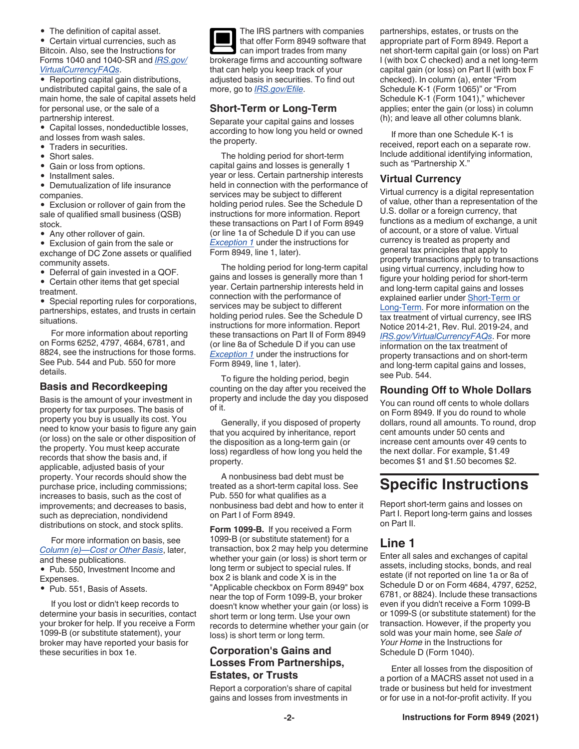• The definition of capital asset.

• Certain virtual currencies, such as Bitcoin. Also, see the Instructions for Forms 1040 and 1040-SR and *[IRS.gov/](https://www.irs.gov/virtualcurrencyfaqs) [VirtualCurrencyFAQs](https://www.irs.gov/virtualcurrencyfaqs)*.

• Reporting capital gain distributions, undistributed capital gains, the sale of a main home, the sale of capital assets held for personal use, or the sale of a partnership interest.

• Capital losses, nondeductible losses, and losses from wash sales.

- Traders in securities.
- Short sales.
- Gain or loss from options.
- Installment sales.

• Demutualization of life insurance companies.

• Exclusion or rollover of gain from the sale of qualified small business (QSB) stock.

• Any other rollover of gain.

• Exclusion of gain from the sale or exchange of DC Zone assets or qualified community assets.

• Deferral of gain invested in a QOF.

• Certain other items that get special treatment.

• Special reporting rules for corporations, partnerships, estates, and trusts in certain situations.

For more information about reporting on Forms 6252, 4797, 4684, 6781, and 8824, see the instructions for those forms. See Pub. 544 and Pub. 550 for more details.

#### **Basis and Recordkeeping**

Basis is the amount of your investment in property for tax purposes. The basis of property you buy is usually its cost. You need to know your basis to figure any gain (or loss) on the sale or other disposition of the property. You must keep accurate records that show the basis and, if applicable, adjusted basis of your property. Your records should show the purchase price, including commissions; increases to basis, such as the cost of improvements; and decreases to basis, such as depreciation, nondividend distributions on stock, and stock splits.

For more information on basis, see *Column (e)—Cost or Other Basis*, later, and these publications.

• Pub. 550, Investment Income and Expenses.

• Pub. 551, Basis of Assets.

If you lost or didn't keep records to determine your basis in securities, contact your broker for help. If you receive a Form 1099-B (or substitute statement), your broker may have reported your basis for these securities in box 1e.

The IRS partners with companies that offer Form 8949 software that can import trades from many brokerage firms and accounting software that can help you keep track of your adjusted basis in securities. To find out more, go to *[IRS.gov/Efile](https://www.irs.gov/efile)*.

## **Short-Term or Long-Term**

Separate your capital gains and losses according to how long you held or owned the property.

The holding period for short-term capital gains and losses is generally 1 year or less. Certain partnership interests held in connection with the performance of services may be subject to different holding period rules. See the Schedule D instructions for more information. Report these transactions on Part I of Form 8949 (or line 1a of Schedule D if you can use *Exception 1* under the instructions for Form 8949, line 1, later).

The holding period for long-term capital gains and losses is generally more than 1 year. Certain partnership interests held in connection with the performance of services may be subject to different holding period rules. See the Schedule D instructions for more information. Report these transactions on Part II of Form 8949 (or line 8a of Schedule D if you can use *Exception 1* under the instructions for Form 8949, line 1, later).

To figure the holding period, begin counting on the day after you received the property and include the day you disposed of it.

Generally, if you disposed of property that you acquired by inheritance, report the disposition as a long-term gain (or loss) regardless of how long you held the property.

A nonbusiness bad debt must be treated as a short-term capital loss. See Pub. 550 for what qualifies as a nonbusiness bad debt and how to enter it on Part I of Form 8949.

**Form 1099-B.** If you received a Form 1099-B (or substitute statement) for a transaction, box 2 may help you determine whether your gain (or loss) is short term or long term or subject to special rules. If box 2 is blank and code X is in the "Applicable checkbox on Form 8949" box near the top of Form 1099-B, your broker doesn't know whether your gain (or loss) is short term or long term. Use your own records to determine whether your gain (or loss) is short term or long term.

#### **Corporation's Gains and Losses From Partnerships, Estates, or Trusts**

Report a corporation's share of capital gains and losses from investments in

partnerships, estates, or trusts on the appropriate part of Form 8949. Report a net short-term capital gain (or loss) on Part I (with box C checked) and a net long-term capital gain (or loss) on Part II (with box F checked). In column (a), enter "From Schedule K-1 (Form 1065)" or "From Schedule K-1 (Form 1041)," whichever applies; enter the gain (or loss) in column (h); and leave all other columns blank.

If more than one Schedule K-1 is received, report each on a separate row. Include additional identifying information, such as "Partnership X."

#### **Virtual Currency**

Virtual currency is a digital representation of value, other than a representation of the U.S. dollar or a foreign currency, that functions as a medium of exchange, a unit of account, or a store of value. Virtual currency is treated as property and general tax principles that apply to property transactions apply to transactions using virtual currency, including how to figure your holding period for short-term and long-term capital gains and losses explained earlier under Short-Term or Long-Term. For more information on the tax treatment of virtual currency, see IRS Notice 2014-21, Rev. Rul. 2019-24, and *[IRS.gov/VirtualCurrencyFAQs](https://www.irs.gov/virtualcurrencyfaqs)*. For more information on the tax treatment of property transactions and on short-term and long-term capital gains and losses, see Pub. 544.

#### **Rounding Off to Whole Dollars**

You can round off cents to whole dollars on Form 8949. If you do round to whole dollars, round all amounts. To round, drop cent amounts under 50 cents and increase cent amounts over 49 cents to the next dollar. For example, \$1.49 becomes \$1 and \$1.50 becomes \$2.

# **Specific Instructions**

Report short-term gains and losses on Part I. Report long-term gains and losses on Part II.

# **Line 1**

Enter all sales and exchanges of capital assets, including stocks, bonds, and real estate (if not reported on line 1a or 8a of Schedule D or on Form 4684, 4797, 6252, 6781, or 8824). Include these transactions even if you didn't receive a Form 1099-B or 1099-S (or substitute statement) for the transaction. However, if the property you sold was your main home, see *Sale of Your Home* in the Instructions for Schedule D (Form 1040).

Enter all losses from the disposition of a portion of a MACRS asset not used in a trade or business but held for investment or for use in a not-for-profit activity. If you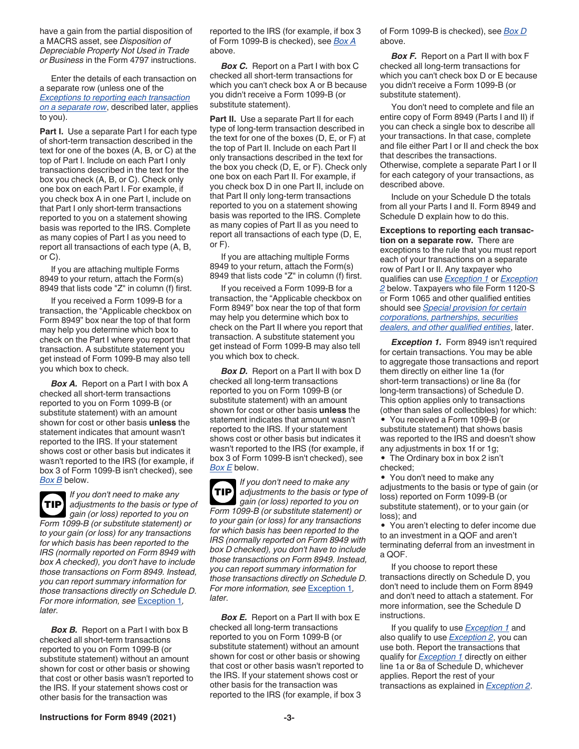have a gain from the partial disposition of a MACRS asset, see *Disposition of Depreciable Property Not Used in Trade or Business* in the Form 4797 instructions.

Enter the details of each transaction on a separate row (unless one of the *Exceptions to reporting each transaction on a separate row*, described later, applies to you).

**Part I.** Use a separate Part I for each type of short-term transaction described in the text for one of the boxes (A, B, or C) at the top of Part I. Include on each Part I only transactions described in the text for the box you check (A, B, or C). Check only one box on each Part I. For example, if you check box A in one Part I, include on that Part I only short-term transactions reported to you on a statement showing basis was reported to the IRS. Complete as many copies of Part I as you need to report all transactions of each type (A, B, or C).

If you are attaching multiple Forms 8949 to your return, attach the Form(s) 8949 that lists code "Z" in column (f) first.

If you received a Form 1099-B for a transaction, the "Applicable checkbox on Form 8949" box near the top of that form may help you determine which box to check on the Part I where you report that transaction. A substitute statement you get instead of Form 1099-B may also tell you which box to check.

**Box A.** Report on a Part I with box A checked all short-term transactions reported to you on Form 1099-B (or substitute statement) with an amount shown for cost or other basis **unless** the statement indicates that amount wasn't reported to the IRS. If your statement shows cost or other basis but indicates it wasn't reported to the IRS (for example, if box 3 of Form 1099-B isn't checked), see *Box B* below.

*If you don't need to make any adjustments to the basis or type of gain (or loss) reported to you on Form 1099-B (or substitute statement) or to your gain (or loss) for any transactions for which basis has been reported to the IRS (normally reported on Form 8949 with box A checked), you don't have to include those transactions on Form 8949. Instead, you can report summary information for those transactions directly on Schedule D. For more information, see* Exception 1*, later.* **TIP**

**Box B.** Report on a Part I with box B checked all short-term transactions reported to you on Form 1099-B (or substitute statement) without an amount shown for cost or other basis or showing that cost or other basis wasn't reported to the IRS. If your statement shows cost or other basis for the transaction was

reported to the IRS (for example, if box 3 of Form 1099-B is checked), see *Box A*  above.

**Box C.** Report on a Part I with box C checked all short-term transactions for which you can't check box A or B because you didn't receive a Form 1099-B (or substitute statement).

**Part II.** Use a separate Part II for each type of long-term transaction described in the text for one of the boxes (D, E, or F) at the top of Part II. Include on each Part II only transactions described in the text for the box you check (D, E, or F). Check only one box on each Part II. For example, if you check box D in one Part II, include on that Part II only long-term transactions reported to you on a statement showing basis was reported to the IRS. Complete as many copies of Part II as you need to report all transactions of each type (D, E, or F).

If you are attaching multiple Forms 8949 to your return, attach the Form(s) 8949 that lists code "Z" in column (f) first.

If you received a Form 1099-B for a transaction, the "Applicable checkbox on Form 8949" box near the top of that form may help you determine which box to check on the Part II where you report that transaction. A substitute statement you get instead of Form 1099-B may also tell you which box to check.

**Box D.** Report on a Part II with box D checked all long-term transactions reported to you on Form 1099-B (or substitute statement) with an amount shown for cost or other basis **unless** the statement indicates that amount wasn't reported to the IRS. If your statement shows cost or other basis but indicates it wasn't reported to the IRS (for example, if box 3 of Form 1099-B isn't checked), see *Box E* below.

*If you don't need to make any adjustments to the basis or type of gain (or loss) reported to you on Form 1099-B (or substitute statement) or to your gain (or loss) for any transactions for which basis has been reported to the IRS (normally reported on Form 8949 with box D checked), you don't have to include those transactions on Form 8949. Instead, you can report summary information for those transactions directly on Schedule D. For more information, see* Exception 1*, later.* **TIP**

**Box E.** Report on a Part II with box E checked all long-term transactions reported to you on Form 1099-B (or substitute statement) without an amount shown for cost or other basis or showing that cost or other basis wasn't reported to the IRS. If your statement shows cost or other basis for the transaction was reported to the IRS (for example, if box 3

of Form 1099-B is checked), see *Box D*  above.

**Box F.** Report on a Part II with box F checked all long-term transactions for which you can't check box D or E because you didn't receive a Form 1099-B (or substitute statement).

You don't need to complete and file an entire copy of Form 8949 (Parts I and II) if you can check a single box to describe all your transactions. In that case, complete and file either Part I or II and check the box that describes the transactions. Otherwise, complete a separate Part I or II for each category of your transactions, as described above.

Include on your Schedule D the totals from all your Parts I and II. Form 8949 and Schedule D explain how to do this.

**Exceptions to reporting each transaction on a separate row.** There are exceptions to the rule that you must report each of your transactions on a separate row of Part I or II. Any taxpayer who qualifies can use *Exception 1* or *Exception 2* below. Taxpayers who file Form 1120-S or Form 1065 and other qualified entities should see *Special provision for certain corporations, partnerships, securities dealers, and other qualified entities*, later.

**Exception 1.** Form 8949 isn't required for certain transactions. You may be able to aggregate those transactions and report them directly on either line 1a (for short-term transactions) or line 8a (for long-term transactions) of Schedule D. This option applies only to transactions (other than sales of collectibles) for which: • You received a Form 1099-B (or substitute statement) that shows basis was reported to the IRS and doesn't show any adjustments in box 1f or 1g;

• The Ordinary box in box 2 isn't checked;

• You don't need to make any adjustments to the basis or type of gain (or loss) reported on Form 1099-B (or substitute statement), or to your gain (or loss); and

• You aren't electing to defer income due to an investment in a QOF and aren't terminating deferral from an investment in a QOF.

If you choose to report these transactions directly on Schedule D, you don't need to include them on Form 8949 and don't need to attach a statement. For more information, see the Schedule D instructions.

If you qualify to use *Exception 1* and also qualify to use *Exception 2*, you can use both. Report the transactions that qualify for *Exception 1* directly on either line 1a or 8a of Schedule D, whichever applies. Report the rest of your transactions as explained in *Exception 2*.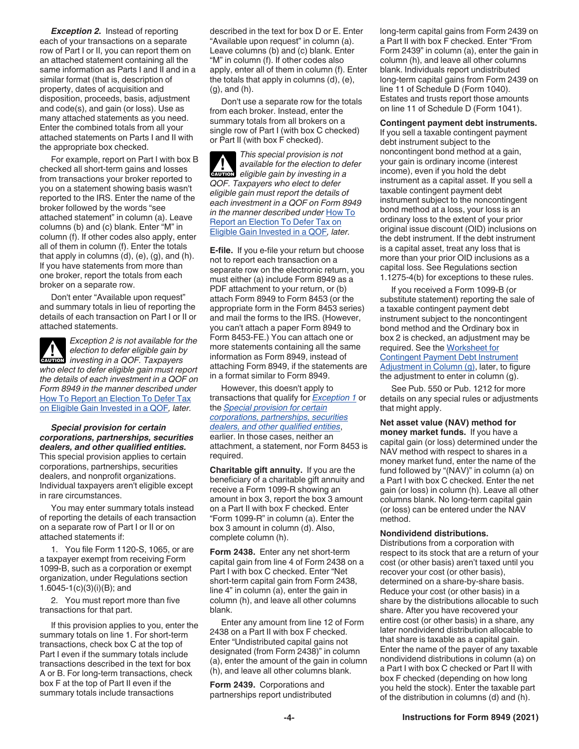*Exception 2.* Instead of reporting each of your transactions on a separate row of Part I or II, you can report them on an attached statement containing all the same information as Parts I and II and in a similar format (that is, description of property, dates of acquisition and disposition, proceeds, basis, adjustment and code(s), and gain (or loss). Use as many attached statements as you need. Enter the combined totals from all your attached statements on Parts I and II with the appropriate box checked.

For example, report on Part I with box B checked all short-term gains and losses from transactions your broker reported to you on a statement showing basis wasn't reported to the IRS. Enter the name of the broker followed by the words "see attached statement" in column (a). Leave columns (b) and (c) blank. Enter "M" in column (f). If other codes also apply, enter all of them in column (f). Enter the totals that apply in columns (d), (e), (g), and (h). If you have statements from more than one broker, report the totals from each broker on a separate row.

Don't enter "Available upon request" and summary totals in lieu of reporting the details of each transaction on Part I or II or attached statements.

*Exception 2 is not available for the election to defer eligible gain by election to defer eligible gain by investing in a QOF. Taxpayers who elect to defer eligible gain must report the details of each investment in a QOF on Form 8949 in the manner described under*  How To Report an Election To Defer Tax on Eligible Gain Invested in a QOF*, later.*

*Special provision for certain corporations, partnerships, securities dealers, and other qualified entities.*  This special provision applies to certain corporations, partnerships, securities dealers, and nonprofit organizations. Individual taxpayers aren't eligible except in rare circumstances.

You may enter summary totals instead of reporting the details of each transaction on a separate row of Part I or II or on attached statements if:

1. You file Form 1120-S, 1065, or are a taxpayer exempt from receiving Form 1099-B, such as a corporation or exempt organization, under Regulations section 1.6045-1(c)(3)(i)(B); and

2. You must report more than five transactions for that part.

If this provision applies to you, enter the summary totals on line 1. For short-term transactions, check box C at the top of Part I even if the summary totals include transactions described in the text for box A or B. For long-term transactions, check box F at the top of Part II even if the summary totals include transactions

described in the text for box D or E. Enter "Available upon request" in column (a). Leave columns (b) and (c) blank. Enter "M" in column (f). If other codes also apply, enter all of them in column (f). Enter the totals that apply in columns (d), (e), (g), and (h).

Don't use a separate row for the totals from each broker. Instead, enter the summary totals from all brokers on a single row of Part I (with box C checked) or Part II (with box F checked).

*This special provision is not available for the election to defer*  **CAUTION** eligible for the election to de *QOF. Taxpayers who elect to defer eligible gain must report the details of each investment in a QOF on Form 8949 in the manner described under* How To Report an Election To Defer Tax on Eligible Gain Invested in a QOF*, later.*

**E-file.** If you e-file your return but choose not to report each transaction on a separate row on the electronic return, you must either (a) include Form 8949 as a PDF attachment to your return, or (b) attach Form 8949 to Form 8453 (or the appropriate form in the Form 8453 series) and mail the forms to the IRS. (However, you can't attach a paper Form 8949 to Form 8453-FE.) You can attach one or more statements containing all the same information as Form 8949, instead of attaching Form 8949, if the statements are in a format similar to Form 8949.

However, this doesn't apply to transactions that qualify for *Exception 1* or the *Special provision for certain corporations, partnerships, securities dealers, and other qualified entities*, earlier. In those cases, neither an attachment, a statement, nor Form 8453 is required.

**Charitable gift annuity.** If you are the beneficiary of a charitable gift annuity and receive a Form 1099-R showing an amount in box 3, report the box 3 amount on a Part II with box F checked. Enter "Form 1099-R" in column (a). Enter the box 3 amount in column (d). Also, complete column (h).

**Form 2438.** Enter any net short-term capital gain from line 4 of Form 2438 on a Part I with box C checked. Enter "Net short-term capital gain from Form 2438, line 4" in column (a), enter the gain in column (h), and leave all other columns blank.

Enter any amount from line 12 of Form 2438 on a Part II with box F checked. Enter "Undistributed capital gains not designated (from Form 2438)" in column (a), enter the amount of the gain in column (h), and leave all other columns blank.

**Form 2439.** Corporations and partnerships report undistributed long-term capital gains from Form 2439 on a Part II with box F checked. Enter "From Form 2439" in column (a), enter the gain in column (h), and leave all other columns blank. Individuals report undistributed long-term capital gains from Form 2439 on line 11 of Schedule D (Form 1040). Estates and trusts report those amounts on line 11 of Schedule D (Form 1041).

**Contingent payment debt instruments.**  If you sell a taxable contingent payment debt instrument subject to the noncontingent bond method at a gain, your gain is ordinary income (interest income), even if you hold the debt instrument as a capital asset. If you sell a taxable contingent payment debt instrument subject to the noncontingent bond method at a loss, your loss is an ordinary loss to the extent of your prior original issue discount (OID) inclusions on the debt instrument. If the debt instrument is a capital asset, treat any loss that is more than your prior OID inclusions as a capital loss. See Regulations section 1.1275-4(b) for exceptions to these rules.

If you received a Form 1099-B (or substitute statement) reporting the sale of a taxable contingent payment debt instrument subject to the noncontingent bond method and the Ordinary box in box 2 is checked, an adjustment may be required. See the Worksheet for Contingent Payment Debt Instrument Adjustment in Column (g), later, to figure the adjustment to enter in column (g).

See Pub. 550 or Pub. 1212 for more details on any special rules or adjustments that might apply.

**Net asset value (NAV) method for money market funds.** If you have a capital gain (or loss) determined under the NAV method with respect to shares in a money market fund, enter the name of the fund followed by "(NAV)" in column (a) on a Part I with box C checked. Enter the net gain (or loss) in column (h). Leave all other columns blank. No long-term capital gain (or loss) can be entered under the NAV method.

#### **Nondividend distributions.**

Distributions from a corporation with respect to its stock that are a return of your cost (or other basis) aren't taxed until you recover your cost (or other basis), determined on a share-by-share basis. Reduce your cost (or other basis) in a share by the distributions allocable to such share. After you have recovered your entire cost (or other basis) in a share, any later nondividend distribution allocable to that share is taxable as a capital gain. Enter the name of the payer of any taxable nondividend distributions in column (a) on a Part I with box C checked or Part II with box F checked (depending on how long you held the stock). Enter the taxable part of the distribution in columns (d) and (h).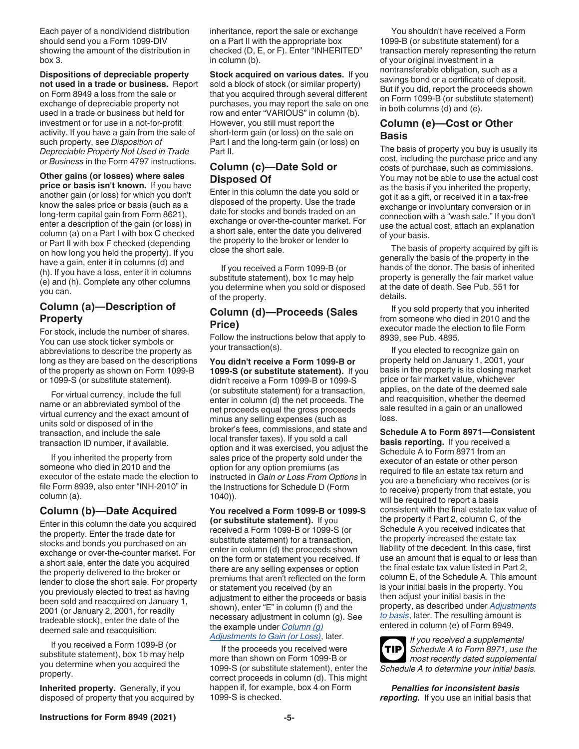Each payer of a nondividend distribution should send you a Form 1099-DIV showing the amount of the distribution in box 3.

**Dispositions of depreciable property not used in a trade or business.** Report on Form 8949 a loss from the sale or exchange of depreciable property not used in a trade or business but held for investment or for use in a not-for-profit activity. If you have a gain from the sale of such property, see *Disposition of Depreciable Property Not Used in Trade or Business* in the Form 4797 instructions.

**Other gains (or losses) where sales price or basis isn't known.** If you have another gain (or loss) for which you don't know the sales price or basis (such as a long-term capital gain from Form 8621), enter a description of the gain (or loss) in column (a) on a Part I with box C checked or Part II with box F checked (depending on how long you held the property). If you have a gain, enter it in columns (d) and (h). If you have a loss, enter it in columns (e) and (h). Complete any other columns you can.

#### **Column (a)—Description of Property**

For stock, include the number of shares. You can use stock ticker symbols or abbreviations to describe the property as long as they are based on the descriptions of the property as shown on Form 1099-B or 1099-S (or substitute statement).

For virtual currency, include the full name or an abbreviated symbol of the virtual currency and the exact amount of units sold or disposed of in the transaction, and include the sale transaction ID number, if available.

If you inherited the property from someone who died in 2010 and the executor of the estate made the election to file Form 8939, also enter "INH-2010" in column (a).

#### **Column (b)—Date Acquired**

Enter in this column the date you acquired the property. Enter the trade date for stocks and bonds you purchased on an exchange or over-the-counter market. For a short sale, enter the date you acquired the property delivered to the broker or lender to close the short sale. For property you previously elected to treat as having been sold and reacquired on January 1, 2001 (or January 2, 2001, for readily tradeable stock), enter the date of the deemed sale and reacquisition.

If you received a Form 1099-B (or substitute statement), box 1b may help you determine when you acquired the property.

**Inherited property.** Generally, if you disposed of property that you acquired by inheritance, report the sale or exchange on a Part II with the appropriate box checked (D, E, or F). Enter "INHERITED" in column (b).

**Stock acquired on various dates.** If you sold a block of stock (or similar property) that you acquired through several different purchases, you may report the sale on one row and enter "VARIOUS" in column (b). However, you still must report the short-term gain (or loss) on the sale on Part I and the long-term gain (or loss) on Part II.

#### **Column (c)—Date Sold or Disposed Of**

Enter in this column the date you sold or disposed of the property. Use the trade date for stocks and bonds traded on an exchange or over-the-counter market. For a short sale, enter the date you delivered the property to the broker or lender to close the short sale.

If you received a Form 1099-B (or substitute statement), box 1c may help you determine when you sold or disposed of the property.

#### **Column (d)—Proceeds (Sales Price)**

Follow the instructions below that apply to your transaction(s).

**You didn't receive a Form 1099-B or 1099-S (or substitute statement).** If you didn't receive a Form 1099-B or 1099-S (or substitute statement) for a transaction, enter in column (d) the net proceeds. The net proceeds equal the gross proceeds minus any selling expenses (such as broker's fees, commissions, and state and local transfer taxes). If you sold a call option and it was exercised, you adjust the sales price of the property sold under the option for any option premiums (as instructed in *Gain or Loss From Options* in the Instructions for Schedule D (Form 1040)).

**You received a Form 1099-B or 1099-S (or substitute statement).** If you received a Form 1099-B or 1099-S (or substitute statement) for a transaction, enter in column (d) the proceeds shown on the form or statement you received. If there are any selling expenses or option premiums that aren't reflected on the form or statement you received (by an adjustment to either the proceeds or basis shown), enter "E" in column (f) and the necessary adjustment in column (g). See the example under *Column (g) Adjustments to Gain (or Loss)*, later.

If the proceeds you received were more than shown on Form 1099-B or 1099-S (or substitute statement), enter the correct proceeds in column (d). This might happen if, for example, box 4 on Form 1099-S is checked.

You shouldn't have received a Form 1099-B (or substitute statement) for a transaction merely representing the return of your original investment in a nontransferable obligation, such as a savings bond or a certificate of deposit. But if you did, report the proceeds shown on Form 1099-B (or substitute statement) in both columns (d) and (e).

#### **Column (e)—Cost or Other Basis**

The basis of property you buy is usually its cost, including the purchase price and any costs of purchase, such as commissions. You may not be able to use the actual cost as the basis if you inherited the property, got it as a gift, or received it in a tax-free exchange or involuntary conversion or in connection with a "wash sale." If you don't use the actual cost, attach an explanation of your basis.

The basis of property acquired by gift is generally the basis of the property in the hands of the donor. The basis of inherited property is generally the fair market value at the date of death. See Pub. 551 for details.

If you sold property that you inherited from someone who died in 2010 and the executor made the election to file Form 8939, see Pub. 4895.

If you elected to recognize gain on property held on January 1, 2001, your basis in the property is its closing market price or fair market value, whichever applies, on the date of the deemed sale and reacquisition, whether the deemed sale resulted in a gain or an unallowed loss.

**Schedule A to Form 8971—Consistent basis reporting.** If you received a Schedule A to Form 8971 from an executor of an estate or other person required to file an estate tax return and you are a beneficiary who receives (or is to receive) property from that estate, you will be required to report a basis consistent with the final estate tax value of the property if Part 2, column C, of the Schedule A you received indicates that the property increased the estate tax liability of the decedent. In this case, first use an amount that is equal to or less than the final estate tax value listed in Part 2, column E, of the Schedule A. This amount is your initial basis in the property. You then adjust your initial basis in the property, as described under *Adjustments to basis*, later. The resulting amount is entered in column (e) of Form 8949.

*If you received a supplemental Schedule A to Form 8971, use the most recently dated supplemental Schedule A to determine your initial basis.* **TIP**

*Penalties for inconsistent basis reporting.* If you use an initial basis that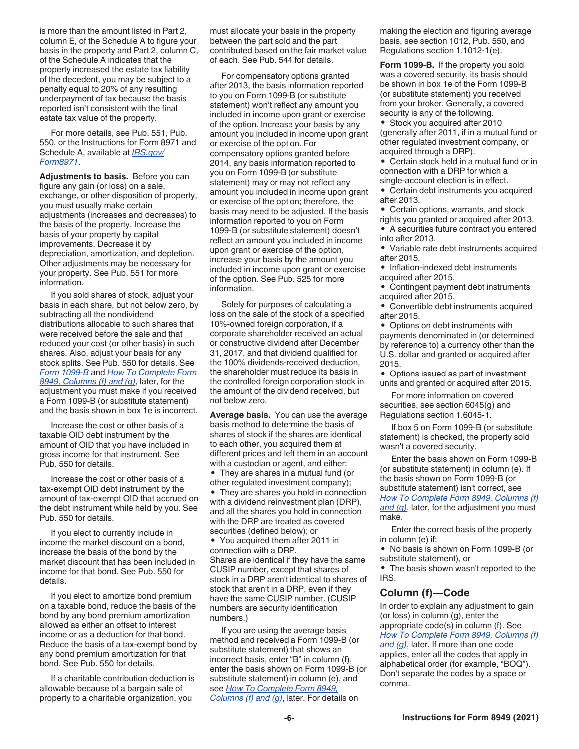is more than the amount listed in Part 2, column E, of the Schedule A to figure your basis in the property and Part 2, column C, of the Schedule A indicates that the property increased the estate tax liability of the decedent, you may be subject to a penalty equal to 20% of any resulting underpayment of tax because the basis reported isn't consistent with the final estate tax value of the property.

For more details, see Pub. 551, Pub. 550, or the Instructions for Form 8971 and Schedule A, available at *[IRS.gov/](https://www.irs.gov/form8971) [Form8971](https://www.irs.gov/form8971)*.

**Adjustments to basis.** Before you can figure any gain (or loss) on a sale, exchange, or other disposition of property, you must usually make certain adjustments (increases and decreases) to the basis of the property. Increase the basis of your property by capital improvements. Decrease it by depreciation, amortization, and depletion. Other adjustments may be necessary for your property. See Pub. 551 for more information.

If you sold shares of stock, adjust your basis in each share, but not below zero, by subtracting all the nondividend distributions allocable to such shares that were received before the sale and that reduced your cost (or other basis) in such shares. Also, adjust your basis for any stock splits. See Pub. 550 for details. See *Form 1099-B* and *How To Complete Form 8949, Columns (f) and (g)*, later, for the adjustment you must make if you received a Form 1099-B (or substitute statement) and the basis shown in box 1e is incorrect.

Increase the cost or other basis of a taxable OID debt instrument by the amount of OID that you have included in gross income for that instrument. See Pub. 550 for details.

Increase the cost or other basis of a tax-exempt OID debt instrument by the amount of tax-exempt OID that accrued on the debt instrument while held by you. See Pub. 550 for details.

If you elect to currently include in income the market discount on a bond, increase the basis of the bond by the market discount that has been included in income for that bond. See Pub. 550 for details.

If you elect to amortize bond premium on a taxable bond, reduce the basis of the bond by any bond premium amortization allowed as either an offset to interest income or as a deduction for that bond. Reduce the basis of a tax-exempt bond by any bond premium amortization for that bond. See Pub. 550 for details.

If a charitable contribution deduction is allowable because of a bargain sale of property to a charitable organization, you

must allocate your basis in the property between the part sold and the part contributed based on the fair market value of each. See Pub. 544 for details.

For compensatory options granted after 2013, the basis information reported to you on Form 1099-B (or substitute statement) won't reflect any amount you included in income upon grant or exercise of the option. Increase your basis by any amount you included in income upon grant or exercise of the option. For compensatory options granted before 2014, any basis information reported to you on Form 1099-B (or substitute statement) may or may not reflect any amount you included in income upon grant or exercise of the option; therefore, the basis may need to be adjusted. If the basis information reported to you on Form 1099-B (or substitute statement) doesn't reflect an amount you included in income upon grant or exercise of the option, increase your basis by the amount you included in income upon grant or exercise of the option. See Pub. 525 for more information.

Solely for purposes of calculating a loss on the sale of the stock of a specified 10%-owned foreign corporation, if a corporate shareholder received an actual or constructive dividend after December 31, 2017, and that dividend qualified for the 100% dividends-received deduction, the shareholder must reduce its basis in the controlled foreign corporation stock in the amount of the dividend received, but not below zero.

**Average basis.** You can use the average basis method to determine the basis of shares of stock if the shares are identical to each other, you acquired them at different prices and left them in an account with a custodian or agent, and either:

• They are shares in a mutual fund (or other regulated investment company);

• They are shares you hold in connection with a dividend reinvestment plan (DRP), and all the shares you hold in connection with the DRP are treated as covered securities (defined below); or

• You acquired them after 2011 in connection with a DRP. Shares are identical if they have the same CUSIP number, except that shares of stock in a DRP aren't identical to shares of stock that aren't in a DRP, even if they have the same CUSIP number. (CUSIP numbers are security identification numbers.)

If you are using the average basis method and received a Form 1099-B (or substitute statement) that shows an incorrect basis, enter "B" in column (f), enter the basis shown on Form 1099-B (or substitute statement) in column (e), and see *How To Complete Form 8949, Columns (f) and (g)*, later. For details on

making the election and figuring average basis, see section 1012, Pub. 550, and Regulations section 1.1012-1(e).

**Form 1099-B.** If the property you sold was a covered security, its basis should be shown in box 1e of the Form 1099-B (or substitute statement) you received from your broker. Generally, a covered security is any of the following.

• Stock you acquired after 2010 (generally after 2011, if in a mutual fund or other regulated investment company, or acquired through a DRP).

• Certain stock held in a mutual fund or in connection with a DRP for which a single-account election is in effect.

• Certain debt instruments you acquired after 2013.

• Certain options, warrants, and stock rights you granted or acquired after 2013.

• A securities future contract you entered into after 2013.

• Variable rate debt instruments acquired after 2015.

• Inflation-indexed debt instruments acquired after 2015.

• Contingent payment debt instruments acquired after 2015.

• Convertible debt instruments acquired after 2015.

• Options on debt instruments with payments denominated in (or determined by reference to) a currency other than the U.S. dollar and granted or acquired after 2015.

• Options issued as part of investment units and granted or acquired after 2015.

For more information on covered securities, see section 6045(g) and Regulations section 1.6045-1.

If box 5 on Form 1099-B (or substitute statement) is checked, the property sold wasn't a covered security.

Enter the basis shown on Form 1099-B (or substitute statement) in column (e). If the basis shown on Form 1099-B (or substitute statement) isn't correct, see *How To Complete Form 8949, Columns (f) and (g)*, later, for the adjustment you must make.

Enter the correct basis of the property in column (e) if:

• No basis is shown on Form 1099-B (or substitute statement), or

• The basis shown wasn't reported to the IRS.

#### **Column (f)—Code**

In order to explain any adjustment to gain (or loss) in column (g), enter the appropriate code(s) in column (f). See *How To Complete Form 8949, Columns (f) and (g)*, later. If more than one code applies, enter all the codes that apply in alphabetical order (for example, "BOQ"). Don't separate the codes by a space or comma.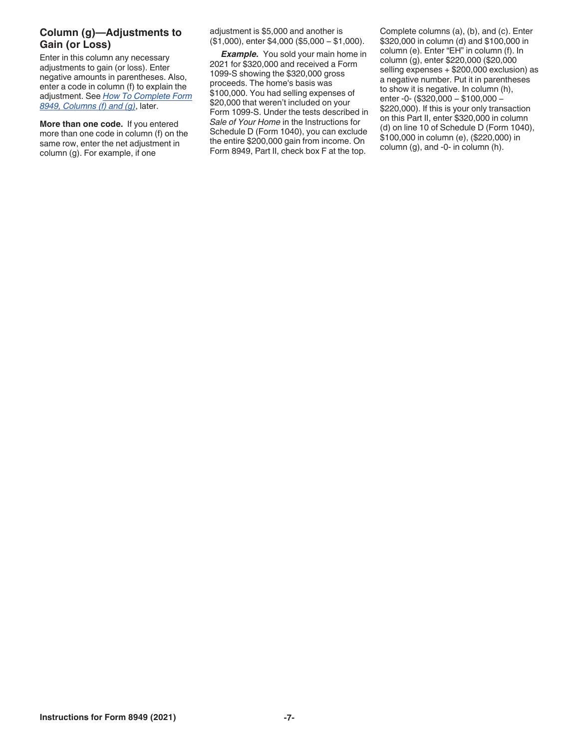#### **Column (g)—Adjustments to Gain (or Loss)**

Enter in this column any necessary adjustments to gain (or loss). Enter negative amounts in parentheses. Also, enter a code in column (f) to explain the adjustment. See *How To Complete Form 8949, Columns (f) and (g)*, later.

**More than one code.** If you entered more than one code in column (f) on the same row, enter the net adjustment in column (g). For example, if one

adjustment is \$5,000 and another is (\$1,000), enter \$4,000 (\$5,000 − \$1,000).

**Example.** You sold your main home in 2021 for \$320,000 and received a Form 1099-S showing the \$320,000 gross proceeds. The home's basis was \$100,000. You had selling expenses of \$20,000 that weren't included on your Form 1099-S. Under the tests described in *Sale of Your Home* in the Instructions for Schedule D (Form 1040), you can exclude the entire \$200,000 gain from income. On Form 8949, Part II, check box F at the top.

Complete columns (a), (b), and (c). Enter \$320,000 in column (d) and \$100,000 in column (e). Enter "EH" in column (f). In column (g), enter \$220,000 (\$20,000 selling expenses + \$200,000 exclusion) as a negative number. Put it in parentheses to show it is negative. In column (h), enter -0- (\$320,000 − \$100,000 − \$220,000). If this is your only transaction on this Part II, enter \$320,000 in column (d) on line 10 of Schedule D (Form 1040), \$100,000 in column (e), (\$220,000) in column (g), and -0- in column (h).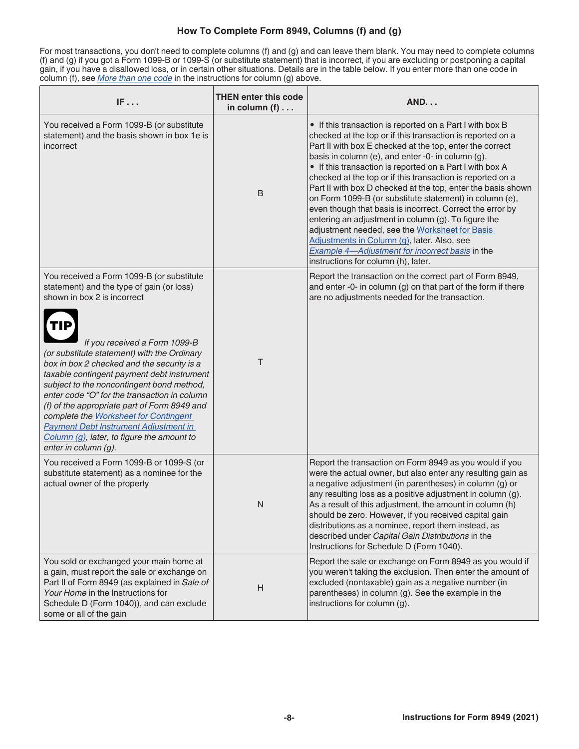#### **How To Complete Form 8949, Columns (f) and (g)**

For most transactions, you don't need to complete columns (f) and (g) and can leave them blank. You may need to complete columns (f) and (g) if you got a Form 1099-B or 1099-S (or substitute statement) that is incorrect, if you are excluding or postponing a capital gain, if you have a disallowed loss, or in certain other situations. Details are in the table below. If you enter more than one code in column (f), see *More than one code* in the instructions for column (g) above.

| IF                                                                                                                                                                                                                                                                                                                                                                                                                                                                                                                                                                                                                   | <b>THEN enter this code</b><br>in column $(f)$ | <b>AND</b>                                                                                                                                                                                                                                                                                                                                                                                                                                                                                                                                                                                                                                                                                                                                                                                                  |
|----------------------------------------------------------------------------------------------------------------------------------------------------------------------------------------------------------------------------------------------------------------------------------------------------------------------------------------------------------------------------------------------------------------------------------------------------------------------------------------------------------------------------------------------------------------------------------------------------------------------|------------------------------------------------|-------------------------------------------------------------------------------------------------------------------------------------------------------------------------------------------------------------------------------------------------------------------------------------------------------------------------------------------------------------------------------------------------------------------------------------------------------------------------------------------------------------------------------------------------------------------------------------------------------------------------------------------------------------------------------------------------------------------------------------------------------------------------------------------------------------|
| You received a Form 1099-B (or substitute<br>statement) and the basis shown in box 1e is<br>incorrect                                                                                                                                                                                                                                                                                                                                                                                                                                                                                                                | $\sf B$                                        | • If this transaction is reported on a Part I with box B<br>checked at the top or if this transaction is reported on a<br>Part II with box E checked at the top, enter the correct<br>basis in column (e), and enter -0- in column (g).<br>• If this transaction is reported on a Part I with box A<br>checked at the top or if this transaction is reported on a<br>Part II with box D checked at the top, enter the basis shown<br>on Form 1099-B (or substitute statement) in column (e),<br>even though that basis is incorrect. Correct the error by<br>entering an adjustment in column (g). To figure the<br>adjustment needed, see the Worksheet for Basis<br>Adjustments in Column (g), later. Also, see<br>Example 4-Adjustment for incorrect basis in the<br>instructions for column (h), later. |
| You received a Form 1099-B (or substitute<br>statement) and the type of gain (or loss)<br>shown in box 2 is incorrect<br>TIP<br>If you received a Form 1099-B<br>(or substitute statement) with the Ordinary<br>box in box 2 checked and the security is a<br>taxable contingent payment debt instrument<br>subject to the noncontingent bond method,<br>enter code "O" for the transaction in column<br>(f) of the appropriate part of Form 8949 and<br>complete the Worksheet for Contingent<br><b>Payment Debt Instrument Adjustment in</b><br>Column (g), later, to figure the amount to<br>enter in column (g). | Τ                                              | Report the transaction on the correct part of Form 8949,<br>and enter -0- in column (g) on that part of the form if there<br>are no adjustments needed for the transaction.                                                                                                                                                                                                                                                                                                                                                                                                                                                                                                                                                                                                                                 |
| You received a Form 1099-B or 1099-S (or<br>substitute statement) as a nominee for the<br>actual owner of the property                                                                                                                                                                                                                                                                                                                                                                                                                                                                                               | N                                              | Report the transaction on Form 8949 as you would if you<br>were the actual owner, but also enter any resulting gain as<br>a negative adjustment (in parentheses) in column (g) or<br>any resulting loss as a positive adjustment in column (g).<br>As a result of this adjustment, the amount in column (h)<br>should be zero. However, if you received capital gain<br>distributions as a nominee, report them instead, as<br>described under Capital Gain Distributions in the<br>Instructions for Schedule D (Form 1040).                                                                                                                                                                                                                                                                                |
| You sold or exchanged your main home at<br>a gain, must report the sale or exchange on<br>Part II of Form 8949 (as explained in Sale of<br>Your Home in the Instructions for<br>Schedule D (Form 1040)), and can exclude<br>some or all of the gain                                                                                                                                                                                                                                                                                                                                                                  | H                                              | Report the sale or exchange on Form 8949 as you would if<br>you weren't taking the exclusion. Then enter the amount of<br>excluded (nontaxable) gain as a negative number (in<br>parentheses) in column (g). See the example in the<br>instructions for column (g).                                                                                                                                                                                                                                                                                                                                                                                                                                                                                                                                         |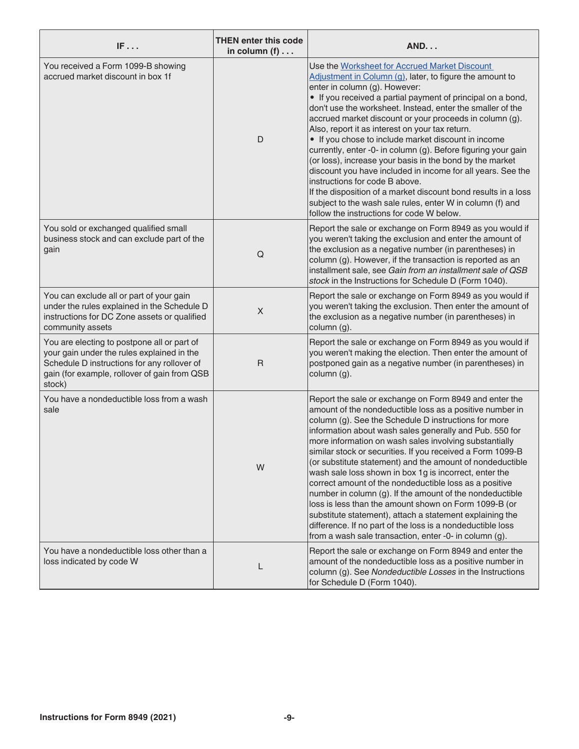| IF                                                                                                                                                                                                 | <b>THEN enter this code</b><br>in column $(f)$ | <b>AND</b>                                                                                                                                                                                                                                                                                                                                                                                                                                                                                                                                                                                                                                                                                                                                                                                                                                              |
|----------------------------------------------------------------------------------------------------------------------------------------------------------------------------------------------------|------------------------------------------------|---------------------------------------------------------------------------------------------------------------------------------------------------------------------------------------------------------------------------------------------------------------------------------------------------------------------------------------------------------------------------------------------------------------------------------------------------------------------------------------------------------------------------------------------------------------------------------------------------------------------------------------------------------------------------------------------------------------------------------------------------------------------------------------------------------------------------------------------------------|
| You received a Form 1099-B showing<br>accrued market discount in box 1f                                                                                                                            | D                                              | Use the Worksheet for Accrued Market Discount<br>Adjustment in Column (g), later, to figure the amount to<br>enter in column (g). However:<br>• If you received a partial payment of principal on a bond,<br>don't use the worksheet. Instead, enter the smaller of the<br>accrued market discount or your proceeds in column (g).<br>Also, report it as interest on your tax return.<br>• If you chose to include market discount in income<br>currently, enter -0- in column (g). Before figuring your gain<br>(or loss), increase your basis in the bond by the market<br>discount you have included in income for all years. See the<br>instructions for code B above.<br>If the disposition of a market discount bond results in a loss<br>subject to the wash sale rules, enter W in column (f) and<br>follow the instructions for code W below.  |
| You sold or exchanged qualified small<br>business stock and can exclude part of the<br>gain                                                                                                        | Q                                              | Report the sale or exchange on Form 8949 as you would if<br>you weren't taking the exclusion and enter the amount of<br>the exclusion as a negative number (in parentheses) in<br>column (g). However, if the transaction is reported as an<br>installment sale, see Gain from an installment sale of QSB<br>stock in the Instructions for Schedule D (Form 1040).                                                                                                                                                                                                                                                                                                                                                                                                                                                                                      |
| You can exclude all or part of your gain<br>under the rules explained in the Schedule D<br>instructions for DC Zone assets or qualified<br>community assets                                        | $\mathsf X$                                    | Report the sale or exchange on Form 8949 as you would if<br>you weren't taking the exclusion. Then enter the amount of<br>the exclusion as a negative number (in parentheses) in<br>column (g).                                                                                                                                                                                                                                                                                                                                                                                                                                                                                                                                                                                                                                                         |
| You are electing to postpone all or part of<br>your gain under the rules explained in the<br>Schedule D instructions for any rollover of<br>gain (for example, rollover of gain from QSB<br>stock) | $\mathsf{R}$                                   | Report the sale or exchange on Form 8949 as you would if<br>you weren't making the election. Then enter the amount of<br>postponed gain as a negative number (in parentheses) in<br>column (g).                                                                                                                                                                                                                                                                                                                                                                                                                                                                                                                                                                                                                                                         |
| You have a nondeductible loss from a wash<br>sale                                                                                                                                                  | W                                              | Report the sale or exchange on Form 8949 and enter the<br>amount of the nondeductible loss as a positive number in<br>column (g). See the Schedule D instructions for more<br>information about wash sales generally and Pub. 550 for<br>more information on wash sales involving substantially<br>similar stock or securities. If you received a Form 1099-B<br>(or substitute statement) and the amount of nondeductible<br>wash sale loss shown in box 1g is incorrect, enter the<br>correct amount of the nondeductible loss as a positive<br>number in column (g). If the amount of the nondeductible<br>loss is less than the amount shown on Form 1099-B (or<br>substitute statement), attach a statement explaining the<br>difference. If no part of the loss is a nondeductible loss<br>from a wash sale transaction, enter -0- in column (g). |
| You have a nondeductible loss other than a<br>loss indicated by code W                                                                                                                             |                                                | Report the sale or exchange on Form 8949 and enter the<br>amount of the nondeductible loss as a positive number in<br>column (g). See Nondeductible Losses in the Instructions<br>for Schedule D (Form 1040).                                                                                                                                                                                                                                                                                                                                                                                                                                                                                                                                                                                                                                           |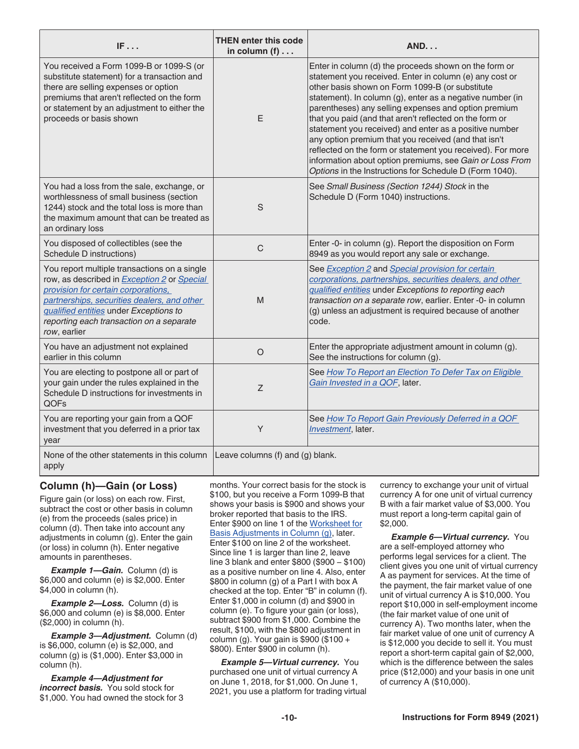| IF                                                                                                                                                                                                                                                                                      | <b>THEN enter this code</b><br>in column $(f)$ | <b>AND</b>                                                                                                                                                                                                                                                                                                                                                                                                                                                                                                                                                                                                                                                 |
|-----------------------------------------------------------------------------------------------------------------------------------------------------------------------------------------------------------------------------------------------------------------------------------------|------------------------------------------------|------------------------------------------------------------------------------------------------------------------------------------------------------------------------------------------------------------------------------------------------------------------------------------------------------------------------------------------------------------------------------------------------------------------------------------------------------------------------------------------------------------------------------------------------------------------------------------------------------------------------------------------------------------|
| You received a Form 1099-B or 1099-S (or<br>substitute statement) for a transaction and<br>there are selling expenses or option<br>premiums that aren't reflected on the form<br>or statement by an adjustment to either the<br>proceeds or basis shown                                 | E                                              | Enter in column (d) the proceeds shown on the form or<br>statement you received. Enter in column (e) any cost or<br>other basis shown on Form 1099-B (or substitute<br>statement). In column (g), enter as a negative number (in<br>parentheses) any selling expenses and option premium<br>that you paid (and that aren't reflected on the form or<br>statement you received) and enter as a positive number<br>any option premium that you received (and that isn't<br>reflected on the form or statement you received). For more<br>information about option premiums, see Gain or Loss From<br>Options in the Instructions for Schedule D (Form 1040). |
| You had a loss from the sale, exchange, or<br>worthlessness of small business (section<br>1244) stock and the total loss is more than<br>the maximum amount that can be treated as<br>an ordinary loss                                                                                  | S                                              | See Small Business (Section 1244) Stock in the<br>Schedule D (Form 1040) instructions.                                                                                                                                                                                                                                                                                                                                                                                                                                                                                                                                                                     |
| You disposed of collectibles (see the<br>Schedule D instructions)                                                                                                                                                                                                                       | $\mathsf{C}$                                   | Enter -0- in column (g). Report the disposition on Form<br>8949 as you would report any sale or exchange.                                                                                                                                                                                                                                                                                                                                                                                                                                                                                                                                                  |
| You report multiple transactions on a single<br>row, as described in Exception 2 or Special<br>provision for certain corporations,<br>partnerships, securities dealers, and other<br>qualified entities under Exceptions to<br>reporting each transaction on a separate<br>row, earlier | M                                              | See <b>Exception 2</b> and <b>Special provision for certain</b><br>corporations, partnerships, securities dealers, and other<br>qualified entities under Exceptions to reporting each<br>transaction on a separate row, earlier. Enter -0- in column<br>(g) unless an adjustment is required because of another<br>code.                                                                                                                                                                                                                                                                                                                                   |
| You have an adjustment not explained<br>earlier in this column                                                                                                                                                                                                                          | $\circ$                                        | Enter the appropriate adjustment amount in column (g).<br>See the instructions for column (g).                                                                                                                                                                                                                                                                                                                                                                                                                                                                                                                                                             |
| You are electing to postpone all or part of<br>your gain under the rules explained in the<br>Schedule D instructions for investments in<br>QOFs                                                                                                                                         | Z                                              | See How To Report an Election To Defer Tax on Eligible<br>Gain Invested in a QOF, later.                                                                                                                                                                                                                                                                                                                                                                                                                                                                                                                                                                   |
| You are reporting your gain from a QOF<br>investment that you deferred in a prior tax<br>year                                                                                                                                                                                           | Y                                              | See How To Report Gain Previously Deferred in a QOF<br>Investment, later.                                                                                                                                                                                                                                                                                                                                                                                                                                                                                                                                                                                  |
| None of the other statements in this column<br>apply                                                                                                                                                                                                                                    | Leave columns (f) and (g) blank.               |                                                                                                                                                                                                                                                                                                                                                                                                                                                                                                                                                                                                                                                            |

#### **Column (h)—Gain (or Loss)**

Figure gain (or loss) on each row. First, subtract the cost or other basis in column (e) from the proceeds (sales price) in column (d). Then take into account any adjustments in column (g). Enter the gain (or loss) in column (h). Enter negative amounts in parentheses.

*Example 1—Gain.* Column (d) is \$6,000 and column (e) is \$2,000. Enter \$4,000 in column (h).

*Example 2—Loss.* Column (d) is \$6,000 and column (e) is \$8,000. Enter (\$2,000) in column (h).

*Example 3—Adjustment.* Column (d) is \$6,000, column (e) is \$2,000, and column (g) is (\$1,000). Enter \$3,000 in column (h).

*Example 4—Adjustment for incorrect basis.* You sold stock for \$1,000. You had owned the stock for 3 months. Your correct basis for the stock is \$100, but you receive a Form 1099-B that shows your basis is \$900 and shows your broker reported that basis to the IRS. Enter \$900 on line 1 of the Worksheet for Basis Adjustments in Column (g), later. Enter \$100 on line 2 of the worksheet. Since line 1 is larger than line 2, leave line 3 blank and enter \$800 (\$900 − \$100) as a positive number on line 4. Also, enter \$800 in column (g) of a Part I with box A checked at the top. Enter "B" in column (f). Enter \$1,000 in column (d) and \$900 in column (e). To figure your gain (or loss), subtract \$900 from \$1,000. Combine the result, \$100, with the \$800 adjustment in column (g). Your gain is \$900 (\$100 + \$800). Enter \$900 in column (h).

*Example 5—Virtual currency.* You purchased one unit of virtual currency A on June 1, 2018, for \$1,000. On June 1, 2021, you use a platform for trading virtual currency to exchange your unit of virtual currency A for one unit of virtual currency B with a fair market value of \$3,000. You must report a long-term capital gain of \$2,000.

*Example 6—Virtual currency.* You are a self-employed attorney who performs legal services for a client. The client gives you one unit of virtual currency A as payment for services. At the time of the payment, the fair market value of one unit of virtual currency A is \$10,000. You report \$10,000 in self-employment income (the fair market value of one unit of currency A). Two months later, when the fair market value of one unit of currency A is \$12,000 you decide to sell it. You must report a short-term capital gain of \$2,000, which is the difference between the sales price (\$12,000) and your basis in one unit of currency A (\$10,000).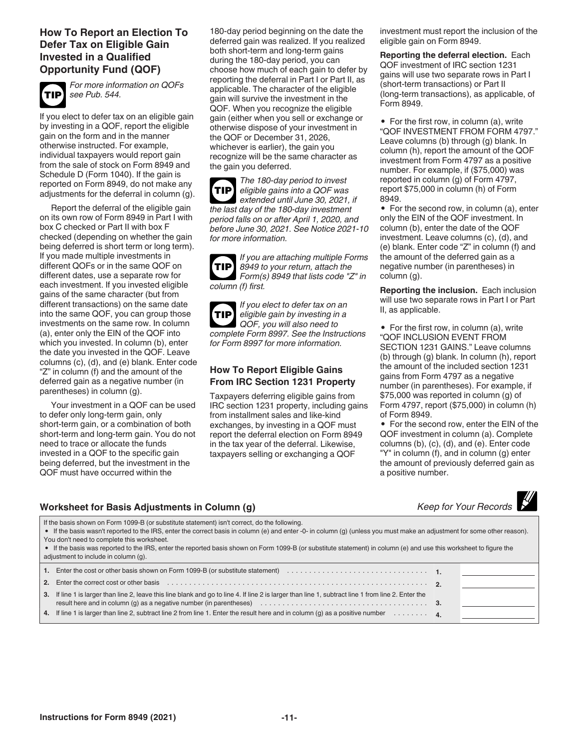#### **How To Report an Election To Defer Tax on Eligible Gain Invested in a Qualified Opportunity Fund (QOF)**



*For more information on QOFs see Pub. 544.*

If you elect to defer tax on an eligible gain by investing in a QOF, report the eligible gain on the form and in the manner otherwise instructed. For example, individual taxpayers would report gain from the sale of stock on Form 8949 and Schedule D (Form 1040). If the gain is reported on Form 8949, do not make any adjustments for the deferral in column (g).

Report the deferral of the eligible gain on its own row of Form 8949 in Part I with box C checked or Part II with box F checked (depending on whether the gain being deferred is short term or long term). If you made multiple investments in different QOFs or in the same QOF on different dates, use a separate row for each investment. If you invested eligible gains of the same character (but from different transactions) on the same date into the same QOF, you can group those investments on the same row. In column (a), enter only the EIN of the QOF into which you invested. In column (b), enter the date you invested in the QOF. Leave columns (c), (d), and (e) blank. Enter code "Z" in column (f) and the amount of the deferred gain as a negative number (in parentheses) in column (g).

Your investment in a QOF can be used to defer only long-term gain, only short-term gain, or a combination of both short-term and long-term gain. You do not need to trace or allocate the funds invested in a QOF to the specific gain being deferred, but the investment in the QOF must have occurred within the

180-day period beginning on the date the deferred gain was realized. If you realized both short-term and long-term gains during the 180-day period, you can choose how much of each gain to defer by reporting the deferral in Part I or Part II, as applicable. The character of the eligible gain will survive the investment in the QOF. When you recognize the eligible gain (either when you sell or exchange or otherwise dispose of your investment in the QOF or December 31, 2026, whichever is earlier), the gain you recognize will be the same character as the gain you deferred.

*The 180-day period to invest eligible gains into a QOF was extended until June 30, 2021, if the last day of the 180-day investment period falls on or after April 1, 2020, and before June 30, 2021. See Notice 2021-10 for more information.* **TIP**

| If you are attaching multiple Forms     |
|-----------------------------------------|
| $TIP$ 8949 to your return, attach the   |
| Form(s) 8949 that lists code " $Z$ " in |
| column (f) first.                       |

*If you elect to defer tax on an eligible gain by investing in a QOF, you will also need to complete Form 8997. See the Instructions for Form 8997 for more information.* **TIP**

#### **How To Report Eligible Gains From IRC Section 1231 Property**

Taxpayers deferring eligible gains from IRC section 1231 property, including gains from installment sales and like-kind exchanges, by investing in a QOF must report the deferral election on Form 8949 in the tax year of the deferral. Likewise, taxpayers selling or exchanging a QOF

investment must report the inclusion of the eligible gain on Form 8949.

**Reporting the deferral election.** Each QOF investment of IRC section 1231 gains will use two separate rows in Part I (short-term transactions) or Part II (long-term transactions), as applicable, of Form 8949.

• For the first row, in column (a), write "QOF INVESTMENT FROM FORM 4797." Leave columns (b) through (g) blank. In column (h), report the amount of the QOF investment from Form 4797 as a positive number. For example, if (\$75,000) was reported in column (g) of Form 4797, report \$75,000 in column (h) of Form 8949.

• For the second row, in column (a), enter only the EIN of the QOF investment. In column (b), enter the date of the QOF investment. Leave columns (c), (d), and (e) blank. Enter code "Z" in column (f) and the amount of the deferred gain as a negative number (in parentheses) in column (g).

**Reporting the inclusion.** Each inclusion will use two separate rows in Part I or Part II, as applicable.

• For the first row, in column (a), write "QOF INCLUSION EVENT FROM SECTION 1231 GAINS." Leave columns (b) through (g) blank. In column (h), report the amount of the included section 1231 gains from Form 4797 as a negative number (in parentheses). For example, if \$75,000 was reported in column (g) of Form 4797, report (\$75,000) in column (h) of Form 8949.

• For the second row, enter the EIN of the QOF investment in column (a). Complete columns (b), (c), (d), and (e). Enter code "Y" in column (f), and in column (g) enter the amount of previously deferred gain as a positive number.

#### **Worksheet for Basis Adjustments in Column (g)**

|  | Keep for Your Records |  |
|--|-----------------------|--|

If the basis shown on Form 1099-B (or substitute statement) isn't correct, do the following.

• If the basis wasn't reported to the IRS, enter the correct basis in column (e) and enter -0- in column (g) (unless you must make an adjustment for some other reason). You don't need to complete this worksheet.

• If the basis was reported to the IRS, enter the reported basis shown on Form 1099-B (or substitute statement) in column (e) and use this worksheet to figure the adjustment to include in column (g).

| 1. Enter the cost or other basis shown on Form 1099-B (or substitute statement) $\ldots \ldots \ldots \ldots \ldots \ldots \ldots \ldots \ldots$                                                                               |  |
|--------------------------------------------------------------------------------------------------------------------------------------------------------------------------------------------------------------------------------|--|
| 2. Enter the correct cost or other basis enterstanding to the content of the content of the correct cost or other basis enterstanding to the correct cost or other basis enterstanding to the content of the content of the co |  |
| 3. If line 1 is larger than line 2, leave this line blank and go to line 4. If line 2 is larger than line 1, subtract line 1 from line 2. Enter the                                                                            |  |
| 4. If line 1 is larger than line 2, subtract line 2 from line 1. Enter the result here and in column (g) as a positive number $\ldots \ldots$                                                                                  |  |